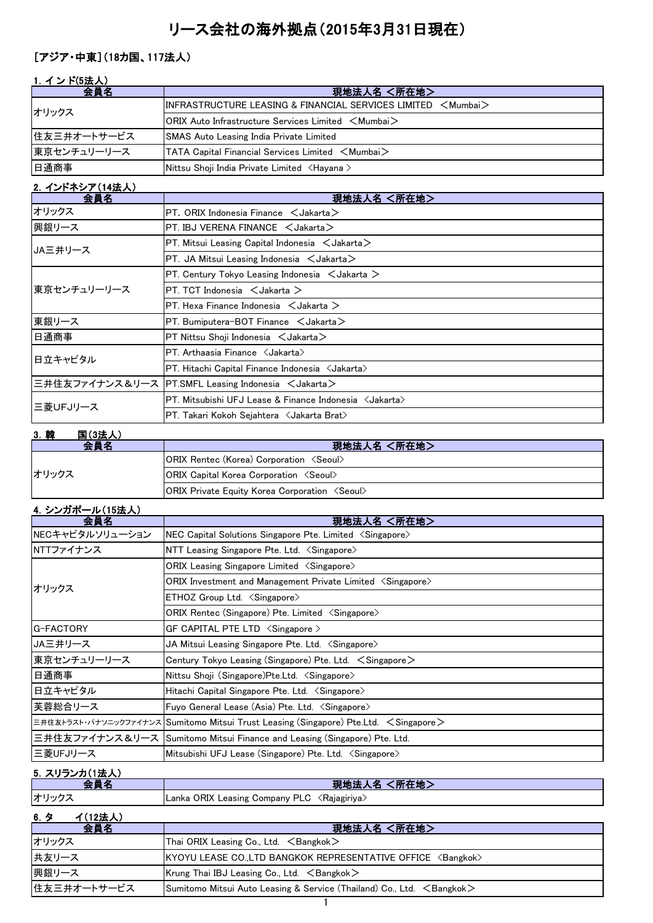# リース会社の海外拠点(2015年3月31日現在)

### [アジア・中東](18カ国、117法人)

# 1. インド(5法人)

| 会員名         | 現地法人名 <所在地>                                                                      |
|-------------|----------------------------------------------------------------------------------|
| オリックス       | $\textsf{IINFRASTRUCTURE LEASING & FINANCIAL SERIES LIMITED < Mumba}$            |
|             | $ ORIX$ Auto Infrastructure Services Limited $\leq$ Mumbai $>$                   |
| 住友三井オートサービス | <b>SMAS Auto Leasing India Private Limited</b>                                   |
| 東京センチュリーリース | $\blacktriangleright$ TATA Capital Financial Services Limited $\lt$ Mumbai $\gt$ |
| 日通商事        | Nittsu Shoji India Private Limited <hayana></hayana>                             |

# 2.インドネシア(14法人)

| 会員名         | 現地法人名 <所在地>                                                      |  |
|-------------|------------------------------------------------------------------|--|
| オリックス       | $PT.$ ORIX Indonesia Finance $\leq$ Jakarta $\geq$               |  |
| 興銀リース       | PT. IBJ VERENA FINANCE $\lt$ Jakarta $>$                         |  |
| JA三井リース     | PT. Mitsui Leasing Capital Indonesia < Jakarta>                  |  |
|             | $PT.$ JA Mitsui Leasing Indonesia $\lt$ Jakarta $\gt$            |  |
|             | $PT$ . Century Tokyo Leasing Indonesia $\lt$ Jakarta $\gt$       |  |
| 東京センチュリーリース | $PT. TCT$ Indonesia $\lt$ Jakarta $\gt$                          |  |
|             | PT. Hexa Finance Indonesia $\leq$ Jakarta $\geq$                 |  |
| 東銀リース       | PT. Bumiputera-BOT Finance $\leq$ Jakarta $\geq$                 |  |
| 日通商事        | $PT$ Nittsu Shoji Indonesia $\lt$ Jakarta $\gt$                  |  |
| 日立キャピタル     | PT. Arthaasia Finance <jakarta></jakarta>                        |  |
|             | PT. Hitachi Capital Finance Indonesia < Jakarta>                 |  |
|             | 三井住友ファイナンス&リース PT.SMFL Leasing Indonesia <jakarta></jakarta>     |  |
| 三菱UFJリース    | PT. Mitsubishi UFJ Lease & Finance Indonesia <jakarta></jakarta> |  |
|             | PT. Takari Kokoh Sejahtera <jakarta brat=""></jakarta>           |  |

#### 3.韓 国(3法人) 会員名 しんじょう しょうしん しゅうしょう りょう 現地法人名 く所在地 > ORIX Rentec (Korea) Corporation <Seoul> ORIX Capital Korea Corporation <Seoul> ORIX Private Equity Korea Corporation <Seoul> オリックス

### 4.シンガポール(15法人)

| 会員名             | <所在地><br>現地法人名                                                                         |
|-----------------|----------------------------------------------------------------------------------------|
| NECキャピタルソリューション | NEC Capital Solutions Singapore Pte. Limited <singapore></singapore>                   |
| NTTファイナンス       | NTT Leasing Singapore Pte. Ltd. $\langle$ Singapore $\rangle$                          |
|                 | ORIX Leasing Singapore Limited <singapore></singapore>                                 |
| オリックス           | ORIX Investment and Management Private Limited <singapore></singapore>                 |
|                 | $ETHOZ$ Group Ltd. $\langle$ Singapore $\rangle$                                       |
|                 | ORIX Rentec (Singapore) Pte. Limited <singapore></singapore>                           |
| G-FACTORY       | GF CAPITAL PTE LTD <singapore></singapore>                                             |
| JA三井リース         | JA Mitsui Leasing Singapore Pte. Ltd. 〈Singapore〉                                      |
| 東京センチュリーリース     | Century Tokyo Leasing (Singapore) Pte. Ltd. $\leq$ Singapore $\geq$                    |
| 日通商事            | Nittsu Shoji (Singapore)Pte.Ltd. <singapore></singapore>                               |
| 日立キャピタル         | Hitachi Capital Singapore Pte. Ltd. $\langle$ Singapore $\rangle$                      |
| 芙蓉総合リース         | Fuyo General Lease (Asia) Pte. Ltd. <singapore></singapore>                            |
|                 | 三井住友トラスト・パナソニックファイナンス Sumitomo Mitsui Trust Leasing (Singapore) Pte.Ltd. < Singapore > |
|                 | 三井住友ファイナンス&リース  Sumitomo Mitsui Finance and Leasing (Singapore) Pte. Ltd.              |
| 三菱UFJリース        | Mitsubishi UFJ Lease (Singapore) Pte. Ltd. <singapore></singapore>                     |

# <u>5. スリランカ(1法人)</u>

| <u><math>0.7777711422</math></u><br>▲ 昌 夕 | 現地法人名 <所在地>                                              |
|-------------------------------------------|----------------------------------------------------------|
| オリックス                                     | Lanka ORIX Leasing Company PLC <rajagiriya></rajagiriya> |
| $2748 + 13$<br>.                          |                                                          |

#### <u>6. タ イ(12法人)</u>

| 会員名         | 現地法人名 <所在地>                                                                    |
|-------------|--------------------------------------------------------------------------------|
| オリックス       | Thai ORIX Leasing Co., Ltd. $\leq$ Bangkok $>$                                 |
| 共友リース       | KYOYU LEASE CO.,LTD BANGKOK REPRESENTATIVE OFFICE <bangkok></bangkok>          |
| 興銀リース       | Krung Thai IBJ Leasing Co., Ltd. $\leq$ Bangkok $\geq$                         |
| 住友三井オートサービス | Sumitomo Mitsui Auto Leasing & Service (Thailand) Co., Ltd. $\leq$ Bangkok $>$ |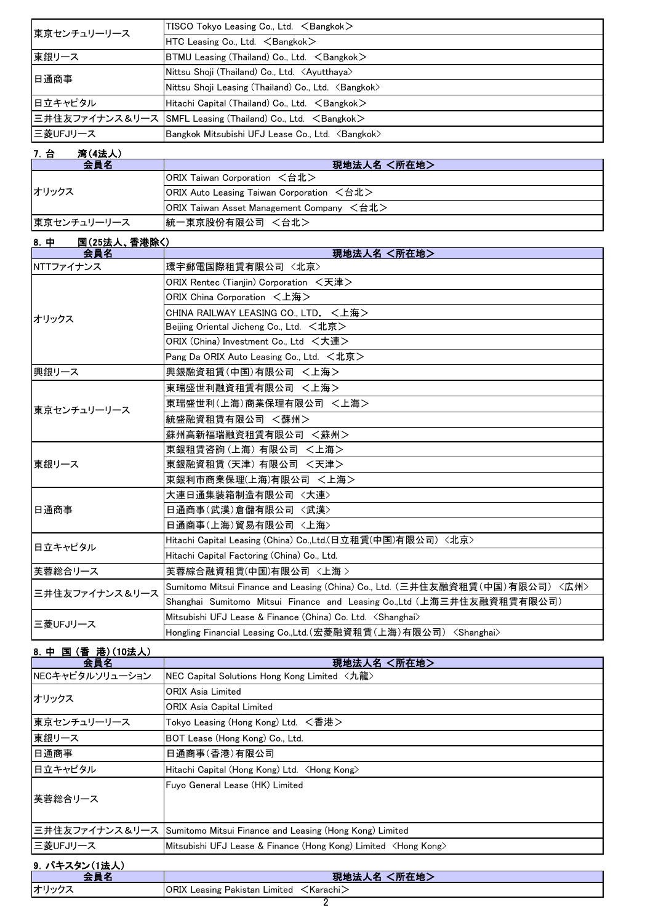| TISCO Tokyo Leasing Co., Ltd. <bangkok></bangkok>                    |
|----------------------------------------------------------------------|
| HTC Leasing Co., Ltd. $\leq$ Bangkok $>$                             |
| BTMU Leasing (Thailand) Co., Ltd. $\leq$ Bangkok $\geq$              |
| Nittsu Shoji (Thailand) Co., Ltd. <ayutthaya></ayutthaya>            |
| Nittsu Shoji Leasing (Thailand) Co., Ltd. <bangkok></bangkok>        |
| Hitachi Capital (Thailand) Co., Ltd. <bangkok></bangkok>             |
| 三井住友ファイナンス&リース SMFL Leasing (Thailand) Co., Ltd. <bangkok></bangkok> |
| Bangkok Mitsubishi UFJ Lease Co., Ltd. <bangkok></bangkok>           |
|                                                                      |

# 7.台 湾(4法人)

| 会員名         | 現地法人名 <所在地>                               |  |
|-------------|-------------------------------------------|--|
| オリックス       | ORIX Taiwan Corporation <台北>              |  |
|             | ORIX Auto Leasing Taiwan Corporation <台北> |  |
|             | ORIX Taiwan Asset Management Company <台北> |  |
| 東京センチュリーリース | 統一東京股份有限公司 <台北>                           |  |

#### 8.中 国(25法人、香港除く)

| 会員名            | 現地法人名 <所在地>                                                                  |  |
|----------------|------------------------------------------------------------------------------|--|
| NTTファイナンス      | 環宇郵電国際租賃有限公司 <北京>                                                            |  |
|                | ORIX Rentec (Tianiin) Corporation <天津>                                       |  |
|                | ORIX China Corporation <上海>                                                  |  |
| オリックス          | CHINA RAILWAY LEASING CO., LTD. <上海>                                         |  |
|                | Beijing Oriental Jicheng Co., Ltd. <北京>                                      |  |
|                | ORIX (China) Investment Co., Ltd <大連>                                        |  |
|                | Pang Da ORIX Auto Leasing Co., Ltd. <北京>                                     |  |
| 興銀リース          | 興銀融資租賃(中国)有限公司 <上海>                                                          |  |
|                | 東瑞盛世利融資租賃有限公司 <上海>                                                           |  |
| 東京センチュリーリース    | 東瑞盛世利(上海)商業保理有限公司 <上海>                                                       |  |
|                | 統盛融資租賃有限公司 <蘇州>                                                              |  |
|                | 蘇州高新福瑞融資租賃有限公司 <蘇州>                                                          |  |
|                | 東銀租賃咨詢(上海) 有限公司 <上海>                                                         |  |
| 東銀リース          | 東銀融資租賃(天津) 有限公司 <天津>                                                         |  |
|                | 東銀利市商業保理(上海)有限公司 <上海>                                                        |  |
|                | 大連日通集装箱制造有限公司 〈大連〉                                                           |  |
| 日通商事           | 日通商事(武漢)倉儲有限公司 <武漢>                                                          |  |
|                | 日通商事(上海)貿易有限公司 〈上海〉                                                          |  |
| 日立キャピタル        | Hitachi Capital Leasing (China) Co.,Ltd.(日立租賃(中国)有限公司) <北京>                  |  |
|                | Hitachi Capital Factoring (China) Co., Ltd.                                  |  |
| 芙蓉総合リース        | 芙蓉綜合融資租賃(中国)有限公司 〈上海 >                                                       |  |
| 三井住友ファイナンス&リース | Sumitomo Mitsui Finance and Leasing (China) Co., Ltd. (三井住友融資租賃(中国)有限公司)〈広州〉 |  |
|                | Shanghai Sumitomo Mitsui Finance and Leasing Co.,Ltd (上海三井住友融資租賃有限公司)        |  |
|                | Mitsubishi UFJ Lease & Finance (China) Co. Ltd. <shanghai></shanghai>        |  |
| 三菱UFJリース       | Hongling Financial Leasing Co.,Ltd.(宏菱融資租賃(上海)有限公司) <shanghai></shanghai>    |  |

| 8. 中国(香港)(10法人) |                                                                          |
|-----------------|--------------------------------------------------------------------------|
| 会員名             | 現地法人名 <所在地>                                                              |
| NECキャピタルソリューション | NEC Capital Solutions Hong Kong Limited <九龍>                             |
| オリックス           | ORIX Asia Limited                                                        |
|                 | <b>ORIX Asia Capital Limited</b>                                         |
| 東京センチュリーリース     | Tokyo Leasing (Hong Kong) Ltd. <香港>                                      |
| 東銀リース           | BOT Lease (Hong Kong) Co., Ltd.                                          |
| 日通商事            | 日通商事(香港)有限公司                                                             |
| 日立キャピタル         | Hitachi Capital (Hong Kong) Ltd. <hong kong=""></hong>                   |
|                 | Fuyo General Lease (HK) Limited                                          |
| 芙蓉総合リース         |                                                                          |
|                 |                                                                          |
|                 | 三井住友ファイナンス&リース Sumitomo Mitsui Finance and Leasing (Hong Kong) Limited   |
| 三菱UFJリース        | Mitsubishi UFJ Lease & Finance (Hong Kong) Limited <hong kong=""></hong> |
| 9. パキスタン(1法人)   |                                                                          |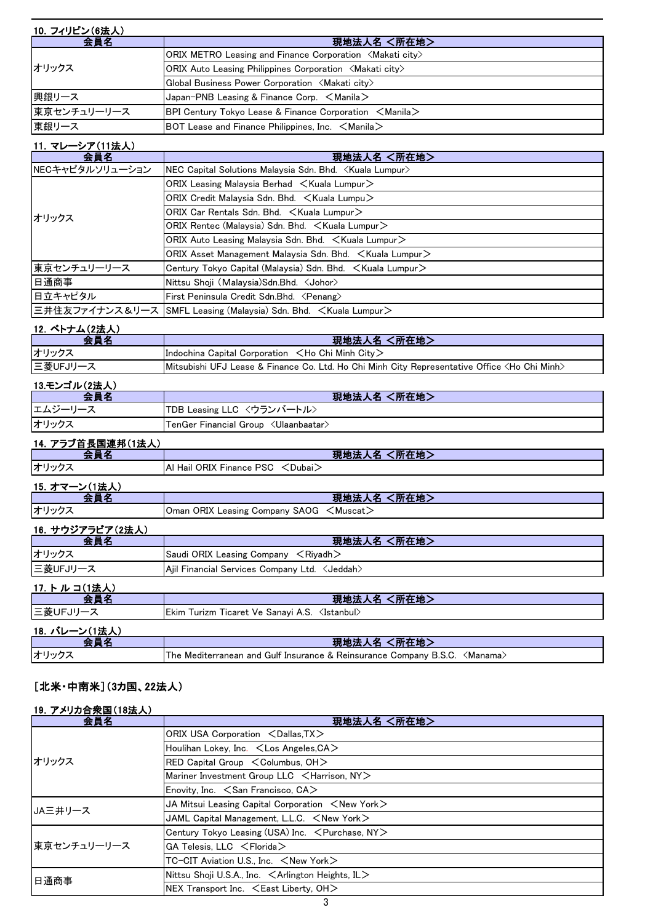| 10. フィリピン(6法人) |                                                                                                   |  |
|----------------|---------------------------------------------------------------------------------------------------|--|
| 会員名            | 現地法人名 <所在地>                                                                                       |  |
| オリックス          | ORIX METRO Leasing and Finance Corporation <makati city=""></makati>                              |  |
|                | <b>ORIX Auto Leasing Philippines Corporation <makati city=""></makati></b>                        |  |
|                | Global Business Power Corporation <makati city=""></makati>                                       |  |
| 興銀リース          | Japan-PNB Leasing & Finance Corp. $\leq$ Manila $\geq$                                            |  |
| 東京センチュリーリース    | <b>BPI Century Tokyo Lease &amp; Finance Corporation <math>\leq</math>Manila<math>\geq</math></b> |  |
| 東銀リース          | BOT Lease and Finance Philippines, Inc. $\leq$ Manila $\geq$                                      |  |

#### 11.マレーシア(11法人)

| 会員名             | 現地法人名 <所在地>                                                                |
|-----------------|----------------------------------------------------------------------------|
| NECキャピタルソリューション | NEC Capital Solutions Malaysia Sdn. Bhd. < Kuala Lumpur>                   |
|                 | $ORIX$ Leasing Malaysia Berhad $\lt$ Kuala Lumpur $\gt$                    |
|                 | ORIX Credit Malaysia Sdn. Bhd. $\leq$ Kuala Lumpu $\geq$                   |
| オリックス           | ORIX Car Rentals Sdn. Bhd. < Kuala Lumpur>                                 |
|                 | ORIX Rentec (Malaysia) Sdn. Bhd. $\leq$ Kuala Lumpur $\geq$                |
|                 | ORIX Auto Leasing Malaysia Sdn. Bhd. $\leq$ Kuala Lumpur $\geq$            |
|                 | $ ORIX$ Asset Management Malaysia Sdn. Bhd. $\lt$ Kuala Lumpur $>$         |
| 東京センチュリーリース     | Century Tokyo Capital (Malaysia) Sdn. Bhd. $\leq$ Kuala Lumpur $\geq$      |
| 日通商事            | Nittsu Shoji (Malaysia)Sdn.Bhd. <johor></johor>                            |
| 日立キャピタル         | First Peninsula Credit Sdn.Bhd. <penang></penang>                          |
|                 | 三井住友ファイナンス&リース SMFL Leasing (Malaysia) Sdn. Bhd. <kuala lumpur=""></kuala> |

#### 12. ベトナム(2法人)

| 스 몸 女               | 現地法人名 <所在地>                                                                                             |
|---------------------|---------------------------------------------------------------------------------------------------------|
| オリックス               | Indochina Capital Corporation $\lt$ Ho Chi Minh City $\gt$                                              |
| 三菱UFJリース            | Mitsubishi UFJ Lease & Finance Co. Ltd. Ho Chi Minh City Representative Office <ho chi="" minh=""></ho> |
| - 19 エゾーゴ Ⅱ. / 9辻 エ |                                                                                                         |

| 13.モンコル(Z法人) |                                                   |
|--------------|---------------------------------------------------|
| 会員名          | 現地法人名 <所在地>                                       |
| エムジーリース      | 「TDB Leasing LLC 〈ウランバートル〉                        |
| オリックス        | $\tt TenGer$ Financial Group $~<$ Ulaanbaatar $>$ |

#### 14.アラブ首長国連邦(1法人)

| 会員名                               | 現地法人名 <所在地>                        |
|-----------------------------------|------------------------------------|
| オリックス                             | Al Hail ORIX Finance PSC < Dubai > |
| 15. オマーン(1法人)                     |                                    |
| 스 모 攵<br><b>START OF BUILDING</b> | <所在地><br>現地法人名                     |

|       | ・ グルビルハロ ヽ バルドレイ                                 |
|-------|--------------------------------------------------|
| オリックス | Oman ORIX Leasing Company SAOG <muscat></muscat> |
|       |                                                  |

#### 16.サウジアラビア(2法人)

| 스 르 攵    | 現地法人名 <所在地>                                     |
|----------|-------------------------------------------------|
| オリックス    | Saudi ORIX Leasing Company $\leq$ Riyadh $\geq$ |
| 三菱UFJリース | Aiil Financial Services Company Ltd. < Jeddah>  |

### 17.トルコ(1法人)

| 会員名           | 現地法人名 <所在地>                                                                 |
|---------------|-----------------------------------------------------------------------------|
| ニ菱UFJリース      | Ekim Turizm Ticaret Ve Sanayi A.S. <istanbul></istanbul>                    |
| 18. バレーン(1法人) |                                                                             |
| 会員名           | 現地法人名 <所在地>                                                                 |
| オリックス         | The Mediterranean and Gulf Insurance & Reinsurance Company B.S.C. < Manama> |

#### [北米・中南米](3カ国、22法人)

#### 19.アメリカ合衆国(18法人)

| 会員名         | 現地法人名 <所在地>                                                  |
|-------------|--------------------------------------------------------------|
| オリックス       | ORIX USA Corporation <dallas, tx=""></dallas,>               |
|             | Houlihan Lokey, Inc. <los angeles,="" ca=""></los>           |
|             | $RED$ Capital Group $\leq$ Columbus, OH $>$                  |
|             | Mariner Investment Group LLC <harrison, ny=""></harrison,>   |
|             | Enovity, Inc. $\leq$ San Francisco, CA $>$                   |
| JA三井リース     | JA Mitsui Leasing Capital Corporation $\leq$ New York $\geq$ |
|             | JAML Capital Management, L.L.C. $\leq$ New York $\geq$       |
| 東京センチュリーリース | Century Tokyo Leasing (USA) Inc. < Purchase, NY>             |
|             | $GA$ Telesis, LLC $\leq$ Florida $>$                         |
|             | TC-CIT Aviation U.S., Inc. <new york=""></new>               |
| 日通商事        | Nittsu Shoji U.S.A., Inc. < Arlington Heights, IL>           |
|             | NEX Transport Inc. $\leq$ East Liberty, OH $>$               |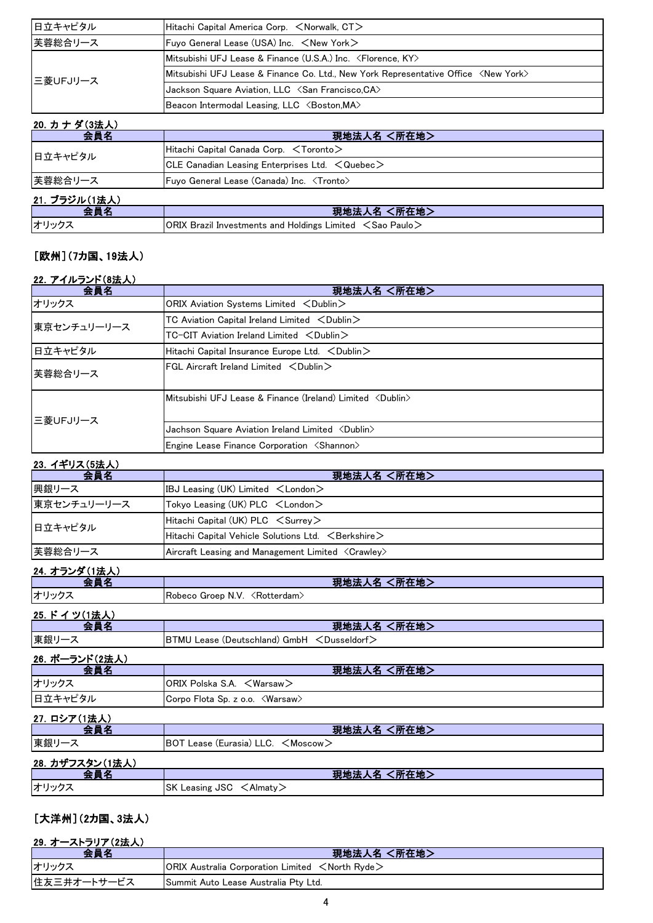| 日立キャピタル  | Hitachi Capital America Corp. <norwalk, ct=""></norwalk,>                                   |
|----------|---------------------------------------------------------------------------------------------|
| 芙蓉総合リース  | Fuyo General Lease (USA) Inc. $\leq$ New York $\geq$                                        |
| 三菱UFJリース | Mitsubishi UFJ Lease & Finance (U.S.A.) Inc. <florence, ky=""></florence,>                  |
|          | Mitsubishi UFJ Lease & Finance Co. Ltd., New York Representative Office <new york=""></new> |
|          | Jackson Square Aviation, LLC <san ca="" francisco,=""></san>                                |
|          | Beacon Intermodal Leasing, LLC <boston, ma=""></boston,>                                    |

| 20. カナダ(3法人)  |                                                                      |
|---------------|----------------------------------------------------------------------|
| 会員名           | 現地法人名 <所在地>                                                          |
| 日立キャピタル       | <code>IHitach</code> i Capital Canada Corp. $\,<$ Toronto $>$        |
|               | $ CLE$ Canadian Leasing Enterprises Ltd. $\leq$ Quebec $\geq$        |
| 芙蓉総合リース       | Fuvo General Lease (Canada) Inc. <tronto></tronto>                   |
| 21. ブラジル(1法人) |                                                                      |
| 会員名           | 現地法人名 <所在地>                                                          |
| オリックス         | ORIX Brazil Investments and Holdings Limited $\leq$ Sao Paulo $\geq$ |

# [欧州](7カ国、19法人)

#### 22.アイルランド(8法人)

| 会員名         | 現地法人名 <所在地>                                                        |
|-------------|--------------------------------------------------------------------|
| オリックス       | ORIX Aviation Systems Limited <dublin></dublin>                    |
| 東京センチュリーリース | $TC$ Aviation Capital Ireland Limited $\langle$ Dublin $\rangle$   |
|             | $TC-CIT$ Aviation Ireland Limited $\langle$ Dublin $\rangle$       |
| 日立キャピタル     | Hitachi Capital Insurance Europe Ltd. < Dublin>                    |
| 芙蓉総合リース     | $FGL$ Aircraft Ireland Limited $\langle$ Dublin $\rangle$          |
| 三菱UFJリース    | Mitsubishi UFJ Lease & Finance (Ireland) Limited <dublin></dublin> |
|             | Jachson Square Aviation Ireland Limited <dublin></dublin>          |
|             | Engine Lease Finance Corporation <shannon></shannon>               |

# 23. イギリス(5法人)

| 会員名         | 現地法人名 <所在地>                                                         |
|-------------|---------------------------------------------------------------------|
| 興銀リース       | IBJ Leasing (UK) Limited $\lt$ London $\gt$                         |
| 東京センチュリーリース | Tokyo Leasing (UK) PLC <london></london>                            |
| 日立キャピタル     | $Hitachi$ Capital (UK) PLC $\leq$ Surrey $>$                        |
|             | $H$ itachi Capital Vehicle Solutions Ltd. $\leq$ Berkshire $\geq$   |
| 芙蓉総合リース     | Aircraft Leasing and Management Limited $\langle$ Crawley $\rangle$ |

#### 24.オランダ(1法人)

| ムユ・イン ノン ノ いいムノヘノ |                                              |
|-------------------|----------------------------------------------|
| 会員名               | 現地法人名 <所在地>                                  |
| オリックス             | Robeco Groep N.V. < Rotterdam>               |
| 25. ドイツ(1法人)      |                                              |
| 会員名               | 現地法人名 <所在地>                                  |
| 東銀リース             | BTMU Lease (Deutschland) GmbH < Dusseldorf>  |
| 26. ポーランド(2法人)    |                                              |
| 会員名               | 現地法人名 <所在地>                                  |
| オリックス             | ORIX Polska S.A. <warsaw></warsaw>           |
| 日立キャピタル           | Corpo Flota Sp. z o.o. < Warsaw>             |
| 27. ロシア(1法人)      |                                              |
| 会員名               | 現地法人名 <所在地>                                  |
| 東銀リース             | BOT Lease (Eurasia) LLC. <moscow></moscow>   |
| 28. カザフスタン(1法人)   |                                              |
| 会員名               | 現地法人名 <所在地>                                  |
| オリックス             | SK Leasing JSC<br>$\langle$ Almaty $\rangle$ |

[大洋州](2カ国、3法人)

| 29. オーストラリア(2法人) |                                                                                         |
|------------------|-----------------------------------------------------------------------------------------|
| 会員名              | 現地法人名 <所在地>                                                                             |
| オリックス            | <b>ORIX Australia Corporation Limited <math>\leq</math> North Ryde<math>\geq</math></b> |
| 住友三井オートサービス      | Summit Auto Lease Australia Pty Ltd.                                                    |